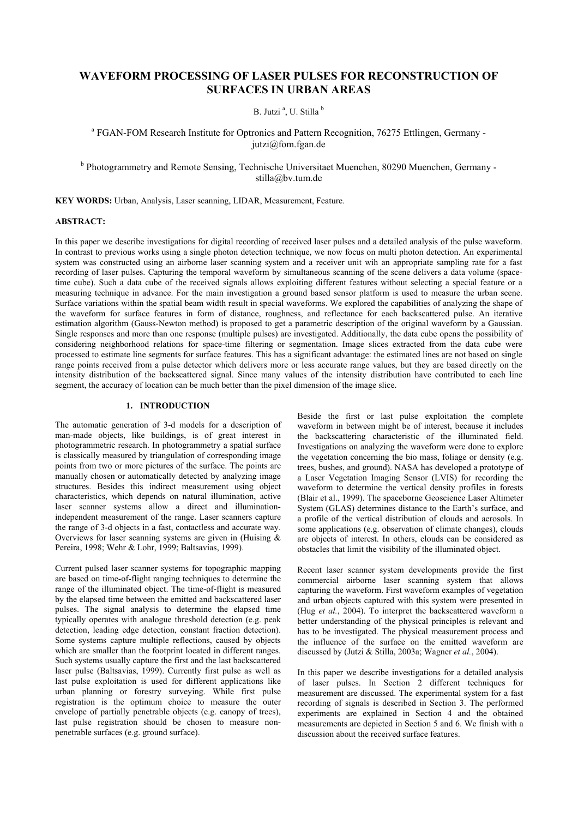## **WAVEFORM PROCESSING OF LASER PULSES FOR RECONSTRUCTION OF SURFACES IN URBAN AREAS**

B. Jutzi<sup>a</sup>, U. Stilla<sup>b</sup>

<sup>a</sup> FGAN-FOM Research Institute for Optronics and Pattern Recognition, 76275 Ettlingen, Germany jutzi@fom.fgan.de

<sup>b</sup> Photogrammetry and Remote Sensing, Technische Universitaet Muenchen, 80290 Muenchen, Germany stilla@by.tum.de

**KEY WORDS:** Urban, Analysis, Laser scanning, LIDAR, Measurement, Feature.

### **ABSTRACT:**

In this paper we describe investigations for digital recording of received laser pulses and a detailed analysis of the pulse waveform. In contrast to previous works using a single photon detection technique, we now focus on multi photon detection. An experimental system was constructed using an airborne laser scanning system and a receiver unit wih an appropriate sampling rate for a fast recording of laser pulses. Capturing the temporal waveform by simultaneous scanning of the scene delivers a data volume (spacetime cube). Such a data cube of the received signals allows exploiting different features without selecting a special feature or a measuring technique in advance. For the main investigation a ground based sensor platform is used to measure the urban scene. Surface variations within the spatial beam width result in special waveforms. We explored the capabilities of analyzing the shape of the waveform for surface features in form of distance, roughness, and reflectance for each backscattered pulse. An iterative estimation algorithm (Gauss-Newton method) is proposed to get a parametric description of the original waveform by a Gaussian. Single responses and more than one response (multiple pulses) are investigated. Additionally, the data cube opens the possibility of considering neighborhood relations for space-time filtering or segmentation. Image slices extracted from the data cube were processed to estimate line segments for surface features. This has a significant advantage: the estimated lines are not based on single range points received from a pulse detector which delivers more or less accurate range values, but they are based directly on the intensity distribution of the backscattered signal. Since many values of the intensity distribution have contributed to each line segment, the accuracy of location can be much better than the pixel dimension of the image slice.

### **1. INTRODUCTION**

The automatic generation of 3-d models for a description of man-made objects, like buildings, is of great interest in photogrammetric research. In photogrammetry a spatial surface is classically measured by triangulation of corresponding image points from two or more pictures of the surface. The points are manually chosen or automatically detected by analyzing image structures. Besides this indirect measurement using object characteristics, which depends on natural illumination, active laser scanner systems allow a direct and illuminationindependent measurement of the range. Laser scanners capture the range of 3-d objects in a fast, contactless and accurate way. Overviews for laser scanning systems are given in (Huising  $\&$ Pereira, 1998; Wehr & Lohr, 1999; Baltsavias, 1999).

Current pulsed laser scanner systems for topographic mapping are based on time-of-flight ranging techniques to determine the range of the illuminated object. The time-of-flight is measured by the elapsed time between the emitted and backscattered laser pulses. The signal analysis to determine the elapsed time typically operates with analogue threshold detection (e.g. peak detection, leading edge detection, constant fraction detection). Some systems capture multiple reflections, caused by objects which are smaller than the footprint located in different ranges. Such systems usually capture the first and the last backscattered laser pulse (Baltsavias, 1999). Currently first pulse as well as last pulse exploitation is used for different applications like urban planning or forestry surveying. While first pulse registration is the optimum choice to measure the outer envelope of partially penetrable objects (e.g. canopy of trees). last pulse registration should be chosen to measure nonpenetrable surfaces (e.g. ground surface).

Beside the first or last pulse exploitation the complete waveform in between might be of interest, because it includes the backscattering characteristic of the illuminated field. Investigations on analyzing the waveform were done to explore the vegetation concerning the bio mass, foliage or density (e.g. trees, bushes, and ground). NASA has developed a prototype of a Laser Vegetation Imaging Sensor (LVIS) for recording the waveform to determine the vertical density profiles in forests (Blair et al., 1999). The spaceborne Geoscience Laser Altimeter System (GLAS) determines distance to the Earth's surface, and a profile of the vertical distribution of clouds and aerosols. In some applications (e.g. observation of climate changes), clouds are objects of interest. In others, clouds can be considered as obstacles that limit the visibility of the illuminated object.

Recent laser scanner system developments provide the first commercial airborne laser scanning system that allows capturing the waveform. First waveform examples of vegetation and urban objects captured with this system were presented in (Hug *et al.*, 2004). To interpret the backscattered waveform a better understanding of the physical principles is relevant and has to be investigated. The physical measurement process and the influence of the surface on the emitted waveform are discussed by (Jutzi & Stilla, 2003a; Wagner *et al.*, 2004).

In this paper we describe investigations for a detailed analysis of laser pulses. In Section 2 different techniques for measurement are discussed. The experimental system for a fast recording of signals is described in Section 3. The performed experiments are explained in Section 4 and the obtained measurements are depicted in Section 5 and 6. We finish with a discussion about the received surface features.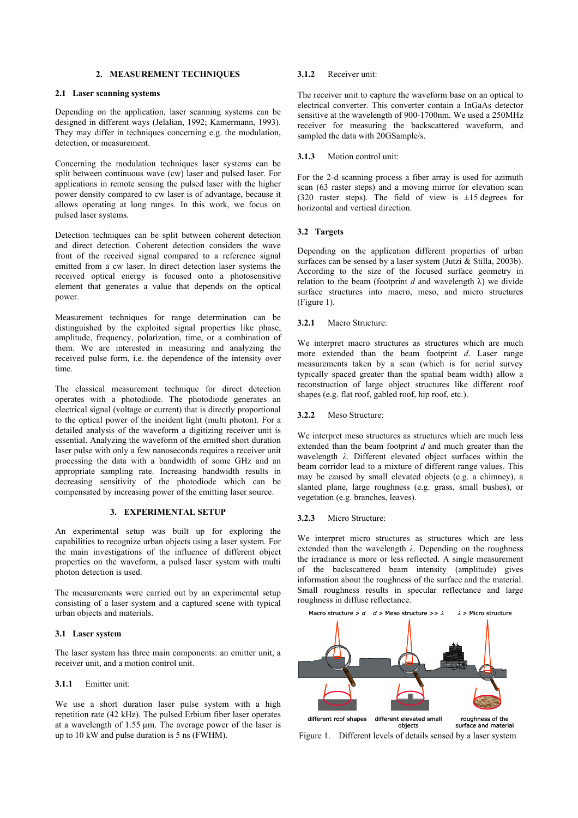### **2. MEASUREMENT TECHNIQUES**

#### **2.1 Laser scanning systems**

Depending on the application, laser scanning systems can be designed in different ways (Jelalian, 1992; Kamermann, 1993). They may differ in techniques concerning e.g. the modulation, detection, or measurement.

Concerning the modulation techniques laser systems can be split between continuous wave (cw) laser and pulsed laser. For applications in remote sensing the pulsed laser with the higher power density compared to cw laser is of advantage, because it allows operating at long ranges. In this work, we focus on pulsed laser systems.

Detection techniques can be split between coherent detection and direct detection. Coherent detection considers the wave front of the received signal compared to a reference signal emitted from a cw laser. In direct detection laser systems the received optical energy is focused onto a photosensitive element that generates a value that depends on the optical power.

Measurement techniques for range determination can be distinguished by the exploited signal properties like phase, amplitude, frequency, polarization, time, or a combination of them. We are interested in measuring and analyzing the received pulse form, i.e. the dependence of the intensity over time.

The classical measurement technique for direct detection operates with a photodiode. The photodiode generates an electrical signal (voltage or current) that is directly proportional to the optical power of the incident light (multi photon). For a detailed analysis of the waveform a digitizing receiver unit is essential. Analyzing the waveform of the emitted short duration laser pulse with only a few nanoseconds requires a receiver unit processing the data with a bandwidth of some GHz and an appropriate sampling rate. Increasing bandwidth results in decreasing sensitivity of the photodiode which can be compensated by increasing power of the emitting laser source.

### **3. EXPERIMENTAL SETUP**

An experimental setup was built up for exploring the capabilities to recognize urban objects using a laser system. For the main investigations of the influence of different object properties on the waveform, a pulsed laser system with multi photon detection is used.

The measurements were carried out by an experimental setup consisting of a laser system and a captured scene with typical urban objects and materials.

#### **3.1 Laser system**

The laser system has three main components: an emitter unit, a receiver unit, and a motion control unit.

#### **3.1.1** Emitter unit:

We use a short duration laser pulse system with a high repetition rate (42 kHz). The pulsed Erbium fiber laser operates at a wavelength of 1.55 µm. The average power of the laser is up to 10 kW and pulse duration is 5 ns (FWHM).

#### **3.1.2** Receiver unit:

The receiver unit to capture the waveform base on an optical to electrical converter. This converter contain a InGaAs detector sensitive at the wavelength of 900-1700nm. We used a 250MHz receiver for measuring the backscattered waveform, and sampled the data with 20GSample/s.

#### **3.1.3** Motion control unit:

For the 2-d scanning process a fiber array is used for azimuth scan (63 raster steps) and a moving mirror for elevation scan (320 raster steps). The field of view is  $\pm 15$  degrees for horizontal and vertical direction.

#### **3.2 Targets**

Depending on the application different properties of urban surfaces can be sensed by a laser system (Jutzi & Stilla, 2003b). According to the size of the focused surface geometry in relation to the beam (footprint *d* and wavelength  $\lambda$ ) we divide surface structures into macro, meso, and micro structures (Figure 1).

#### **3.2.1** Macro Structure:

We interpret macro structures as structures which are much more extended than the beam footprint *d*. Laser range measurements taken by a scan (which is for aerial survey typically spaced greater than the spatial beam width) allow a reconstruction of large object structures like different roof shapes (e.g. flat roof, gabled roof, hip roof, etc.).

#### **3.2.2** Meso Structure:

We interpret meso structures as structures which are much less extended than the beam footprint *d* and much greater than the wavelength *λ*. Different elevated object surfaces within the beam corridor lead to a mixture of different range values. This may be caused by small elevated objects (e.g. a chimney), a slanted plane, large roughness (e.g. grass, small bushes), or vegetation (e.g. branches, leaves).

#### **3.2.3** Micro Structure:

We interpret micro structures as structures which are less extended than the wavelength *λ*. Depending on the roughness the irradiance is more or less reflected. A single measurement of the backscattered beam intensity (amplitude) gives information about the roughness of the surface and the material. Small roughness results in specular reflectance and large roughness in diffuse reflectance.



Figure 1. Different levels of details sensed by a laser system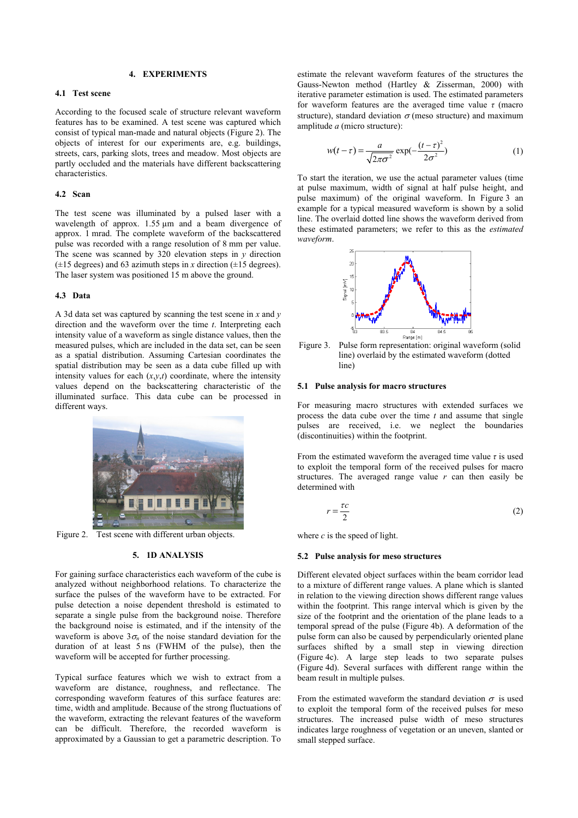### **4. EXPERIMENTS**

#### **4.1 Test scene**

According to the focused scale of structure relevant waveform features has to be examined. A test scene was captured which consist of typical man-made and natural objects (Figure 2). The objects of interest for our experiments are, e.g. buildings, streets, cars, parking slots, trees and meadow. Most objects are partly occluded and the materials have different backscattering characteristics.

#### **4.2 Scan**

The test scene was illuminated by a pulsed laser with a wavelength of approx. 1.55  $\mu$ m and a beam divergence of approx. 1 mrad. The complete waveform of the backscattered pulse was recorded with a range resolution of 8 mm per value. The scene was scanned by 320 elevation steps in *y* direction  $(\pm 15$  degrees) and 63 azimuth steps in *x* direction  $(\pm 15$  degrees). The laser system was positioned 15 m above the ground.

#### **4.3 Data**

A 3d data set was captured by scanning the test scene in *x* and *y* direction and the waveform over the time *t*. Interpreting each intensity value of a waveform as single distance values, then the measured pulses, which are included in the data set, can be seen as a spatial distribution. Assuming Cartesian coordinates the spatial distribution may be seen as a data cube filled up with intensity values for each  $(x, y, t)$  coordinate, where the intensity values depend on the backscattering characteristic of the illuminated surface. This data cube can be processed in different ways.



Figure 2. Test scene with different urban objects.

#### **5. 1D ANALYSIS**

For gaining surface characteristics each waveform of the cube is analyzed without neighborhood relations. To characterize the surface the pulses of the waveform have to be extracted. For pulse detection a noise dependent threshold is estimated to separate a single pulse from the background noise. Therefore the background noise is estimated, and if the intensity of the waveform is above  $3\sigma_n$  of the noise standard deviation for the duration of at least 5 ns (FWHM of the pulse), then the waveform will be accepted for further processing.

Typical surface features which we wish to extract from a waveform are distance, roughness, and reflectance. The corresponding waveform features of this surface features are: time, width and amplitude. Because of the strong fluctuations of the waveform, extracting the relevant features of the waveform can be difficult. Therefore, the recorded waveform is approximated by a Gaussian to get a parametric description. To

estimate the relevant waveform features of the structures the Gauss-Newton method (Hartley & Zisserman, 2000) with iterative parameter estimation is used. The estimated parameters for waveform features are the averaged time value *τ* (macro structure), standard deviation  $\sigma$  (meso structure) and maximum amplitude *a* (micro structure):

$$
w(t-\tau) = \frac{a}{\sqrt{2\pi\sigma^2}} \exp(-\frac{(t-\tau)^2}{2\sigma^2})
$$
 (1)

To start the iteration, we use the actual parameter values (time at pulse maximum, width of signal at half pulse height, and pulse maximum) of the original waveform. In Figure 3 an example for a typical measured waveform is shown by a solid line. The overlaid dotted line shows the waveform derived from these estimated parameters; we refer to this as the *estimated waveform*.



Figure 3. Pulse form representation: original waveform (solid line) overlaid by the estimated waveform (dotted line)

#### **5.1 Pulse analysis for macro structures**

For measuring macro structures with extended surfaces we process the data cube over the time *t* and assume that single pulses are received, i.e. we neglect the boundaries (discontinuities) within the footprint.

From the estimated waveform the averaged time value *τ* is used to exploit the temporal form of the received pulses for macro structures. The averaged range value  $r$  can then easily be determined with

$$
r = \frac{\tau c}{2} \tag{2}
$$

where  $c$  is the speed of light.

### **5.2 Pulse analysis for meso structures**

Different elevated object surfaces within the beam corridor lead to a mixture of different range values. A plane which is slanted in relation to the viewing direction shows different range values within the footprint. This range interval which is given by the size of the footprint and the orientation of the plane leads to a temporal spread of the pulse (Figure 4b). A deformation of the pulse form can also be caused by perpendicularly oriented plane surfaces shifted by a small step in viewing direction (Figure 4c). A large step leads to two separate pulses (Figure 4d). Several surfaces with different range within the beam result in multiple pulses.

From the estimated waveform the standard deviation  $\sigma$  is used to exploit the temporal form of the received pulses for meso structures. The increased pulse width of meso structures indicates large roughness of vegetation or an uneven, slanted or small stepped surface.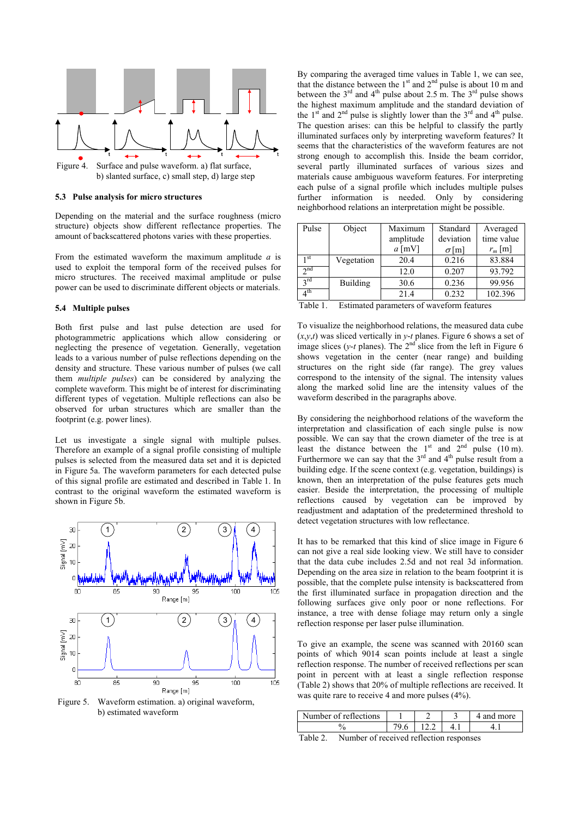

b) slanted surface, c) small step, d) large step

#### **5.3 Pulse analysis for micro structures**

Depending on the material and the surface roughness (micro structure) objects show different reflectance properties. The amount of backscattered photons varies with these properties.

From the estimated waveform the maximum amplitude *a* is used to exploit the temporal form of the received pulses for micro structures. The received maximal amplitude or pulse power can be used to discriminate different objects or materials.

#### **5.4 Multiple pulses**

Both first pulse and last pulse detection are used for photogrammetric applications which allow considering or neglecting the presence of vegetation. Generally, vegetation leads to a various number of pulse reflections depending on the density and structure. These various number of pulses (we call them *multiple pulses*) can be considered by analyzing the complete waveform. This might be of interest for discriminating different types of vegetation. Multiple reflections can also be observed for urban structures which are smaller than the footprint (e.g. power lines).

Let us investigate a single signal with multiple pulses. Therefore an example of a signal profile consisting of multiple pulses is selected from the measured data set and it is depicted in Figure 5a. The waveform parameters for each detected pulse of this signal profile are estimated and described in Table 1. In contrast to the original waveform the estimated waveform is shown in Figure 5b.



Figure 5. Waveform estimation. a) original waveform, b) estimated waveform

By comparing the averaged time values in Table 1, we can see, that the distance between the  $1<sup>st</sup>$  and  $2<sup>nd</sup>$  pulse is about 10 m and between the  $3^{rd}$  and  $4^{th}$  pulse about 2.5 m. The  $3^{rd}$  pulse shows the highest maximum amplitude and the standard deviation of the  $1<sup>st</sup>$  and  $2<sup>nd</sup>$  pulse is slightly lower than the  $3<sup>rd</sup>$  and  $4<sup>th</sup>$  pulse. The question arises: can this be helpful to classify the partly illuminated surfaces only by interpreting waveform features? It seems that the characteristics of the waveform features are not strong enough to accomplish this. Inside the beam corridor, several partly illuminated surfaces of various sizes and materials cause ambiguous waveform features. For interpreting each pulse of a signal profile which includes multiple pulses further information is needed. Only by considering neighborhood relations an interpretation might be possible.

| Pulse           | Object     | Maximum   | Standard     | Averaged   |
|-----------------|------------|-----------|--------------|------------|
|                 |            | amplitude | deviation    | time value |
|                 |            | $a$ [mV]  | $\sigma$ [m] | $r_m$ [m]  |
| 1 st            | Vegetation | 20.4      | 0.216        | 83.884     |
| $\lambda$ nd    |            | 12.0      | 0.207        | 93.792     |
| 2rd             | Building   | 30.6      | 0.236        | 99.956     |
| 4 <sup>th</sup> |            | 21.4      | 0.232        | 102.396    |

Table 1. Estimated parameters of waveform features

To visualize the neighborhood relations, the measured data cube  $(x, y, t)$  was sliced vertically in  $y$ -*t* planes. Figure 6 shows a set of image slices ( $y$ -*t* planes). The  $2<sup>nd</sup>$  slice from the left in Figure 6 shows vegetation in the center (near range) and building structures on the right side (far range). The grey values correspond to the intensity of the signal. The intensity values along the marked solid line are the intensity values of the waveform described in the paragraphs above.

By considering the neighborhood relations of the waveform the interpretation and classification of each single pulse is now possible. We can say that the crown diameter of the tree is at least the distance between the  $1<sup>st</sup>$  and  $2<sup>nd</sup>$  pulse (10 m). Furthermore we can say that the  $3<sup>rd</sup>$  and  $4<sup>th</sup>$  pulse result from a building edge. If the scene context (e.g. vegetation, buildings) is known, then an interpretation of the pulse features gets much easier. Beside the interpretation, the processing of multiple reflections caused by vegetation can be improved by readjustment and adaptation of the predetermined threshold to detect vegetation structures with low reflectance.

It has to be remarked that this kind of slice image in Figure 6 can not give a real side looking view. We still have to consider that the data cube includes 2.5d and not real 3d information. Depending on the area size in relation to the beam footprint it is possible, that the complete pulse intensity is backscattered from the first illuminated surface in propagation direction and the following surfaces give only poor or none reflections. For instance, a tree with dense foliage may return only a single reflection response per laser pulse illumination.

To give an example, the scene was scanned with 20160 scan points of which 9014 scan points include at least a single reflection response. The number of received reflections per scan point in percent with at least a single reflection response (Table 2) shows that 20% of multiple reflections are received. It was quite rare to receive 4 and more pulses (4%).

| Number of reflections            |  | and more |
|----------------------------------|--|----------|
|                                  |  |          |
| - 11<br>$\overline{\phantom{a}}$ |  |          |

Table 2. Number of received reflection responses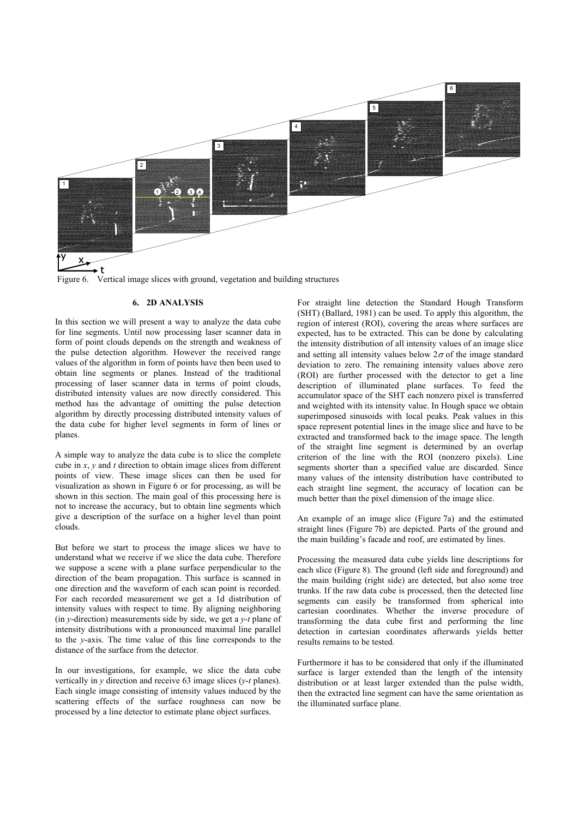

Figure 6. Vertical image slices with ground, vegetation and building structures

### **6. 2D ANALYSIS**

In this section we will present a way to analyze the data cube for line segments. Until now processing laser scanner data in form of point clouds depends on the strength and weakness of the pulse detection algorithm. However the received range values of the algorithm in form of points have then been used to obtain line segments or planes. Instead of the traditional processing of laser scanner data in terms of point clouds, distributed intensity values are now directly considered. This method has the advantage of omitting the pulse detection algorithm by directly processing distributed intensity values of the data cube for higher level segments in form of lines or planes.

A simple way to analyze the data cube is to slice the complete cube in *x*, *y* and *t* direction to obtain image slices from different points of view. These image slices can then be used for visualization as shown in Figure 6 or for processing, as will be shown in this section. The main goal of this processing here is not to increase the accuracy, but to obtain line segments which give a description of the surface on a higher level than point clouds.

But before we start to process the image slices we have to understand what we receive if we slice the data cube. Therefore we suppose a scene with a plane surface perpendicular to the direction of the beam propagation. This surface is scanned in one direction and the waveform of each scan point is recorded. For each recorded measurement we get a 1d distribution of intensity values with respect to time. By aligning neighboring (in *y*-direction) measurements side by side, we get a *y-t* plane of intensity distributions with a pronounced maximal line parallel to the *y*-axis. The time value of this line corresponds to the distance of the surface from the detector.

In our investigations, for example, we slice the data cube vertically in *y* direction and receive 63 image slices (*y*-*t* planes). Each single image consisting of intensity values induced by the scattering effects of the surface roughness can now be processed by a line detector to estimate plane object surfaces.

For straight line detection the Standard Hough Transform (SHT) (Ballard, 1981) can be used. To apply this algorithm, the region of interest (ROI), covering the areas where surfaces are expected, has to be extracted. This can be done by calculating the intensity distribution of all intensity values of an image slice and setting all intensity values below  $2\sigma$  of the image standard deviation to zero. The remaining intensity values above zero (ROI) are further processed with the detector to get a line description of illuminated plane surfaces. To feed the accumulator space of the SHT each nonzero pixel is transferred and weighted with its intensity value. In Hough space we obtain superimposed sinusoids with local peaks. Peak values in this space represent potential lines in the image slice and have to be extracted and transformed back to the image space. The length of the straight line segment is determined by an overlap criterion of the line with the ROI (nonzero pixels). Line segments shorter than a specified value are discarded. Since many values of the intensity distribution have contributed to each straight line segment, the accuracy of location can be much better than the pixel dimension of the image slice.

An example of an image slice (Figure 7a) and the estimated straight lines (Figure 7b) are depicted. Parts of the ground and the main building's facade and roof, are estimated by lines.

Processing the measured data cube yields line descriptions for each slice (Figure 8). The ground (left side and foreground) and the main building (right side) are detected, but also some tree trunks. If the raw data cube is processed, then the detected line segments can easily be transformed from spherical into cartesian coordinates. Whether the inverse procedure of transforming the data cube first and performing the line detection in cartesian coordinates afterwards yields better results remains to be tested.

Furthermore it has to be considered that only if the illuminated surface is larger extended than the length of the intensity distribution or at least larger extended than the pulse width, then the extracted line segment can have the same orientation as the illuminated surface plane.